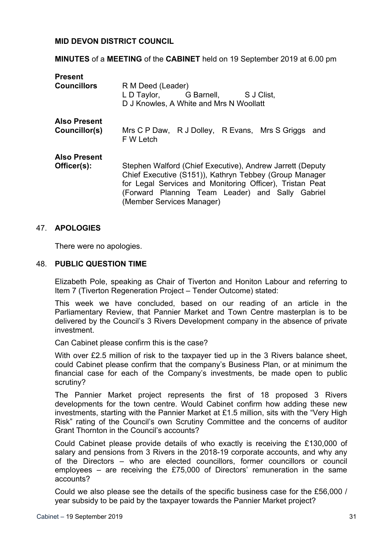### **MID DEVON DISTRICT COUNCIL**

### **MINUTES** of a **MEETING** of the **CABINET** held on 19 September 2019 at 6.00 pm

| <b>Present</b>      |                                                           |
|---------------------|-----------------------------------------------------------|
| <b>Councillors</b>  | R M Deed (Leader)                                         |
|                     | L D Taylor, G Barnell, S J Clist,                         |
|                     | D J Knowles, A White and Mrs N Woollatt                   |
| <b>Also Present</b> |                                                           |
| Councillor(s)       | Mrs C P Daw, R J Dolley, R Evans, Mrs S Griggs and        |
|                     | F W Letch                                                 |
| <b>Also Present</b> |                                                           |
| Officer(s):         | Stephen Walford (Chief Executive), Andrew Jarrett (Deputy |
|                     | Chief Executive (S151)), Kathryn Tebbey (Group Manager    |
|                     | for Legal Services and Monitoring Officer), Tristan Peat  |
|                     | (Forward Planning Team Leader) and Sally Gabriel          |
|                     | (Member Services Manager)                                 |

### 47. **APOLOGIES**

There were no apologies.

#### 48. **PUBLIC QUESTION TIME**

Elizabeth Pole, speaking as Chair of Tiverton and Honiton Labour and referring to Item 7 (Tiverton Regeneration Project – Tender Outcome) stated:

This week we have concluded, based on our reading of an article in the Parliamentary Review, that Pannier Market and Town Centre masterplan is to be delivered by the Council's 3 Rivers Development company in the absence of private investment.

Can Cabinet please confirm this is the case?

With over £2.5 million of risk to the taxpayer tied up in the 3 Rivers balance sheet, could Cabinet please confirm that the company's Business Plan, or at minimum the financial case for each of the Company's investments, be made open to public scrutiny?

The Pannier Market project represents the first of 18 proposed 3 Rivers developments for the town centre. Would Cabinet confirm how adding these new investments, starting with the Pannier Market at £1.5 million, sits with the "Very High Risk" rating of the Council's own Scrutiny Committee and the concerns of auditor Grant Thornton in the Council's accounts?

Could Cabinet please provide details of who exactly is receiving the £130,000 of salary and pensions from 3 Rivers in the 2018-19 corporate accounts, and why any of the Directors – who are elected councillors, former councillors or council employees – are receiving the £75,000 of Directors' remuneration in the same accounts?

Could we also please see the details of the specific business case for the £56,000 / year subsidy to be paid by the taxpayer towards the Pannier Market project?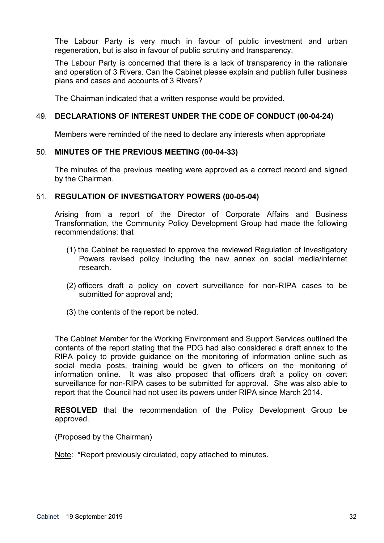The Labour Party is very much in favour of public investment and urban regeneration, but is also in favour of public scrutiny and transparency.

The Labour Party is concerned that there is a lack of transparency in the rationale and operation of 3 Rivers. Can the Cabinet please explain and publish fuller business plans and cases and accounts of 3 Rivers?

The Chairman indicated that a written response would be provided.

### 49. **DECLARATIONS OF INTEREST UNDER THE CODE OF CONDUCT (00-04-24)**

Members were reminded of the need to declare any interests when appropriate

### 50. **MINUTES OF THE PREVIOUS MEETING (00-04-33)**

The minutes of the previous meeting were approved as a correct record and signed by the Chairman.

### 51. **REGULATION OF INVESTIGATORY POWERS (00-05-04)**

Arising from a report of the Director of Corporate Affairs and Business Transformation, the Community Policy Development Group had made the following recommendations: that

- (1) the Cabinet be requested to approve the reviewed Regulation of Investigatory Powers revised policy including the new annex on social media/internet research.
- (2) officers draft a policy on covert surveillance for non-RIPA cases to be submitted for approval and;
- (3) the contents of the report be noted.

The Cabinet Member for the Working Environment and Support Services outlined the contents of the report stating that the PDG had also considered a draft annex to the RIPA policy to provide guidance on the monitoring of information online such as social media posts, training would be given to officers on the monitoring of information online. It was also proposed that officers draft a policy on covert surveillance for non-RIPA cases to be submitted for approval. She was also able to report that the Council had not used its powers under RIPA since March 2014.

**RESOLVED** that the recommendation of the Policy Development Group be approved.

(Proposed by the Chairman)

Note: \*Report previously circulated, copy attached to minutes.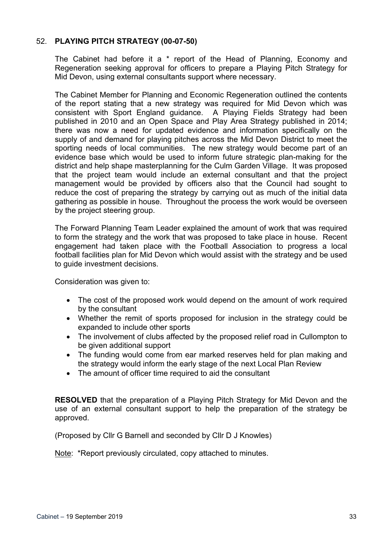# 52. **PLAYING PITCH STRATEGY (00-07-50)**

The Cabinet had before it a \* report of the Head of Planning, Economy and Regeneration seeking approval for officers to prepare a Playing Pitch Strategy for Mid Devon, using external consultants support where necessary.

The Cabinet Member for Planning and Economic Regeneration outlined the contents of the report stating that a new strategy was required for Mid Devon which was consistent with Sport England guidance. A Playing Fields Strategy had been published in 2010 and an Open Space and Play Area Strategy published in 2014; there was now a need for updated evidence and information specifically on the supply of and demand for playing pitches across the Mid Devon District to meet the sporting needs of local communities. The new strategy would become part of an evidence base which would be used to inform future strategic plan-making for the district and help shape masterplanning for the Culm Garden Village. It was proposed that the project team would include an external consultant and that the project management would be provided by officers also that the Council had sought to reduce the cost of preparing the strategy by carrying out as much of the initial data gathering as possible in house. Throughout the process the work would be overseen by the project steering group.

The Forward Planning Team Leader explained the amount of work that was required to form the strategy and the work that was proposed to take place in house. Recent engagement had taken place with the Football Association to progress a local football facilities plan for Mid Devon which would assist with the strategy and be used to guide investment decisions.

Consideration was given to:

- The cost of the proposed work would depend on the amount of work required by the consultant
- Whether the remit of sports proposed for inclusion in the strategy could be expanded to include other sports
- The involvement of clubs affected by the proposed relief road in Cullompton to be given additional support
- The funding would come from ear marked reserves held for plan making and the strategy would inform the early stage of the next Local Plan Review
- The amount of officer time required to aid the consultant

**RESOLVED** that the preparation of a Playing Pitch Strategy for Mid Devon and the use of an external consultant support to help the preparation of the strategy be approved.

(Proposed by Cllr G Barnell and seconded by Cllr D J Knowles)

Note: \*Report previously circulated, copy attached to minutes.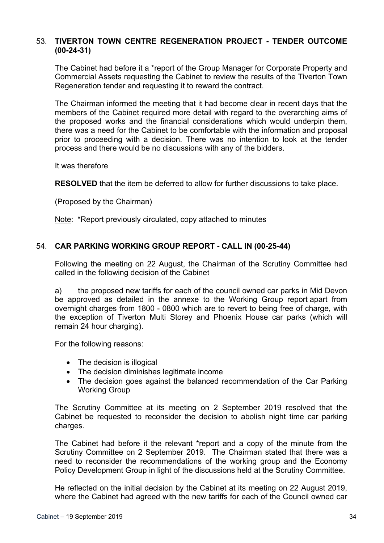## 53. **TIVERTON TOWN CENTRE REGENERATION PROJECT - TENDER OUTCOME (00-24-31)**

The Cabinet had before it a \*report of the Group Manager for Corporate Property and Commercial Assets requesting the Cabinet to review the results of the Tiverton Town Regeneration tender and requesting it to reward the contract.

The Chairman informed the meeting that it had become clear in recent days that the members of the Cabinet required more detail with regard to the overarching aims of the proposed works and the financial considerations which would underpin them, there was a need for the Cabinet to be comfortable with the information and proposal prior to proceeding with a decision. There was no intention to look at the tender process and there would be no discussions with any of the bidders.

It was therefore

**RESOLVED** that the item be deferred to allow for further discussions to take place.

(Proposed by the Chairman)

Note: \*Report previously circulated, copy attached to minutes

### 54. **CAR PARKING WORKING GROUP REPORT - CALL IN (00-25-44)**

Following the meeting on 22 August, the Chairman of the Scrutiny Committee had called in the following decision of the Cabinet

a) the proposed new tariffs for each of the council owned car parks in Mid Devon be approved as detailed in the annexe to the Working Group report apart from overnight charges from 1800 - 0800 which are to revert to being free of charge, with the exception of Tiverton Multi Storey and Phoenix House car parks (which will remain 24 hour charging).

For the following reasons:

- The decision is illogical
- The decision diminishes legitimate income
- The decision goes against the balanced recommendation of the Car Parking Working Group

The Scrutiny Committee at its meeting on 2 September 2019 resolved that the Cabinet be requested to reconsider the decision to abolish night time car parking charges.

The Cabinet had before it the relevant \*report and a copy of the minute from the Scrutiny Committee on 2 September 2019. The Chairman stated that there was a need to reconsider the recommendations of the working group and the Economy Policy Development Group in light of the discussions held at the Scrutiny Committee.

He reflected on the initial decision by the Cabinet at its meeting on 22 August 2019, where the Cabinet had agreed with the new tariffs for each of the Council owned car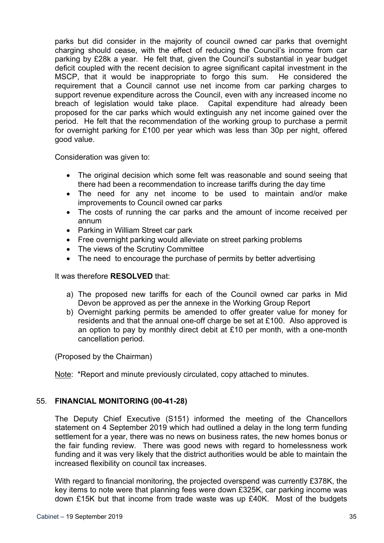parks but did consider in the majority of council owned car parks that overnight charging should cease, with the effect of reducing the Council's income from car parking by £28k a year. He felt that, given the Council's substantial in year budget deficit coupled with the recent decision to agree significant capital investment in the MSCP, that it would be inappropriate to forgo this sum. He considered the requirement that a Council cannot use net income from car parking charges to support revenue expenditure across the Council, even with any increased income no breach of legislation would take place. Capital expenditure had already been proposed for the car parks which would extinguish any net income gained over the period. He felt that the recommendation of the working group to purchase a permit for overnight parking for £100 per year which was less than 30p per night, offered good value.

Consideration was given to:

- The original decision which some felt was reasonable and sound seeing that there had been a recommendation to increase tariffs during the day time
- The need for any net income to be used to maintain and/or make improvements to Council owned car parks
- The costs of running the car parks and the amount of income received per annum
- Parking in William Street car park
- Free overnight parking would alleviate on street parking problems
- The views of the Scrutiny Committee
- The need to encourage the purchase of permits by better advertising

### It was therefore **RESOLVED** that:

- a) The proposed new tariffs for each of the Council owned car parks in Mid Devon be approved as per the annexe in the Working Group Report
- b) Overnight parking permits be amended to offer greater value for money for residents and that the annual one-off charge be set at £100. Also approved is an option to pay by monthly direct debit at £10 per month, with a one-month cancellation period.

(Proposed by the Chairman)

Note: \*Report and minute previously circulated, copy attached to minutes.

### 55. **FINANCIAL MONITORING (00-41-28)**

The Deputy Chief Executive (S151) informed the meeting of the Chancellors statement on 4 September 2019 which had outlined a delay in the long term funding settlement for a year, there was no news on business rates, the new homes bonus or the fair funding review. There was good news with regard to homelessness work funding and it was very likely that the district authorities would be able to maintain the increased flexibility on council tax increases.

With regard to financial monitoring, the projected overspend was currently £378K, the key items to note were that planning fees were down £325K, car parking income was down £15K but that income from trade waste was up £40K. Most of the budgets